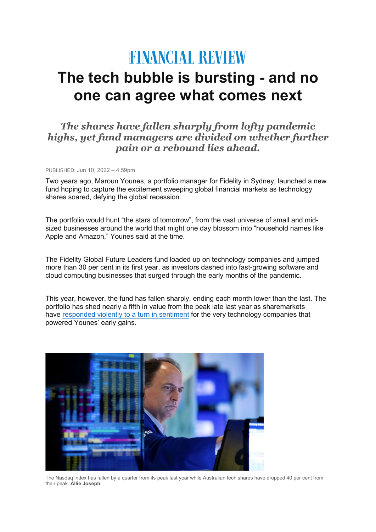# **FINANCIAL REVIEW**

## **The tech bubble is bursting - and no one can agree what comes next**

### *The shares have fallen sharply from lofty pandemic highs, yet fund managers are divided on whether further pain or a rebound lies ahead.*

PUBLISHED: Jun 10, 2022 – 4.59pm

Two years ago, Maroun Younes, a portfolio manager for Fidelity in Sydney, launched a new fund hoping to capture the excitement sweeping global financial markets as technology shares soared, defying the global recession.

The portfolio would hunt "the stars of tomorrow", from the vast universe of small and midsized businesses around the world that might one day blossom into "household names like Apple and Amazon," Younes said at the time.

The Fidelity Global Future Leaders fund loaded up on technology companies and jumped more than 30 per cent in its first year, as investors dashed into fast-growing software and cloud computing businesses that surged through the early months of the pandemic.

This year, however, the fund has fallen sharply, ending each month lower than the last. The portfolio has shed nearly a fifth in value from the peak late last year as sharemarkets have [responded](https://www.afr.com/link/follow-20180101-p5ascz) violently to a turn in sentiment for the very technology companies that powered Younes' early gains.



The Nasdaq index has fallen by a quarter from its peak last year while Australian tech shares have dropped 40 per cent from their peak. **Allie Joseph**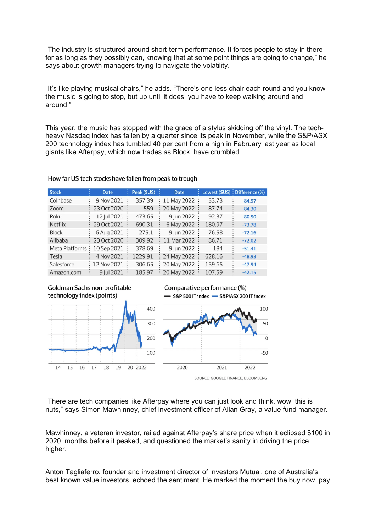"The industry is structured around short-term performance. It forces people to stay in there for as long as they possibly can, knowing that at some point things are going to change," he says about growth managers trying to navigate the volatility.

"It's like playing musical chairs," he adds. "There's one less chair each round and you know the music is going to stop, but up until it does, you have to keep walking around and around."

This year, the music has stopped with the grace of a stylus skidding off the vinyl. The techheavy Nasdaq index has fallen by a quarter since its peak in November, while the S&P/ASX 200 technology index has tumbled 40 per cent from a high in February last year as local giants like Afterpay, which now trades as Block, have crumbled.

| <b>Stock</b>    | <b>Date</b> | Peak (\$US) | <b>Date</b>   |        | Lowest $(5US)$ : Difference $%$ |
|-----------------|-------------|-------------|---------------|--------|---------------------------------|
| Coinbase        | 9 Nov 2021  | 357.39      | 11 May 2022   | 53.73  | $-84.97$                        |
| Zoom            | 23 Oct 2020 | 559         | 20 May 2022   | 87.74  | $-84.30$                        |
| Roku            | 12 Jul 2021 | 473.65      | 9 Jun 2022    | 92.37  | $-80.50$                        |
| <b>Netflix</b>  | 29 Oct 2021 | 690.31      | 6 May 2022    | 180.97 | $-73.78$                        |
| <b>Block</b>    | 6 Aug 2021  | 275.1       | 9 Jun 2022    | 76.58  | $-72.16$                        |
| Alibaba         | 23 Oct 2020 | 309.92      | 11 Mar 2022   | 86.71  | $-72.02$                        |
| Meta Platforms: | 10 Sep 2021 | 378.69      | 9 Jun 2022    | 184    | $-51.41$                        |
| Tesla           | 4 Nov 2021  | 1229.91     | : 24 May 2022 | 628.16 | $-48.93$                        |
| Salesforce      | 12 Nov 2021 | 306.65      | 20 May 2022   | 159.65 | $-47.94$                        |
| Amazon.com      | 9 Iul 2021  | 185.97      | 20 May 2022   | 107.59 | $-42.15$                        |

#### How far US tech stocks have fallen from peak to trough





Comparative performance (%) -S&P 500 IT index - S&P/ASX 200 IT index



"There are tech companies like Afterpay where you can just look and think, wow, this is nuts," says Simon Mawhinney, chief investment officer of Allan Gray, a value fund manager.

Mawhinney, a veteran investor, railed against Afterpay's share price when it eclipsed \$100 in 2020, months before it peaked, and questioned the market's sanity in driving the price higher.

Anton Tagliaferro, founder and investment director of Investors Mutual, one of Australia's best known value investors, echoed the sentiment. He marked the moment the buy now, pay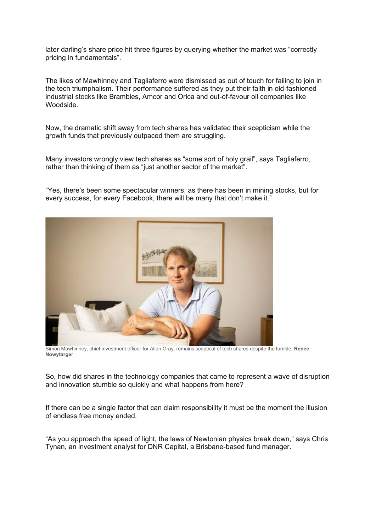later darling's share price hit three figures by querying whether the market was "correctly pricing in fundamentals".

The likes of Mawhinney and Tagliaferro were dismissed as out of touch for failing to join in the tech triumphalism. Their performance suffered as they put their faith in old-fashioned industrial stocks like Brambles, Amcor and Orica and out-of-favour oil companies like Woodside.

Now, the dramatic shift away from tech shares has validated their scepticism while the growth funds that previously outpaced them are struggling.

Many investors wrongly view tech shares as "some sort of holy grail", says Tagliaferro, rather than thinking of them as "just another sector of the market".

"Yes, there's been some spectacular winners, as there has been in mining stocks, but for every success, for every Facebook, there will be many that don't make it."



 Simon Mawhinney, chief investment officer for Allan Gray, remains sceptical of tech shares despite the tumble. **Renee Nowytarger**

So, how did shares in the technology companies that came to represent a wave of disruption and innovation stumble so quickly and what happens from here?

If there can be a single factor that can claim responsibility it must be the moment the illusion of endless free money ended.

"As you approach the speed of light, the laws of Newtonian physics break down," says Chris Tynan, an investment analyst for DNR Capital, a Brisbane-based fund manager.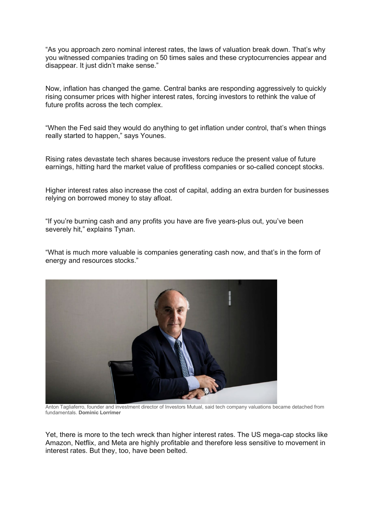"As you approach zero nominal interest rates, the laws of valuation break down. That's why you witnessed companies trading on 50 times sales and these cryptocurrencies appear and disappear. It just didn't make sense."

Now, inflation has changed the game. Central banks are responding aggressively to quickly rising consumer prices with higher interest rates, forcing investors to rethink the value of future profits across the tech complex.

"When the Fed said they would do anything to get inflation under control, that's when things really started to happen," says Younes.

Rising rates devastate tech shares because investors reduce the present value of future earnings, hitting hard the market value of profitless companies or so-called concept stocks.

Higher interest rates also increase the cost of capital, adding an extra burden for businesses relying on borrowed money to stay afloat.

"If you're burning cash and any profits you have are five years-plus out, you've been severely hit," explains Tynan.

"What is much more valuable is companies generating cash now, and that's in the form of energy and resources stocks."



 Anton Tagliaferro, founder and investment director of Investors Mutual, said tech company valuations became detached from fundamentals. **Dominic Lorrimer**

Yet, there is more to the tech wreck than higher interest rates. The US mega-cap stocks like Amazon, Netflix, and Meta are highly profitable and therefore less sensitive to movement in interest rates. But they, too, have been belted.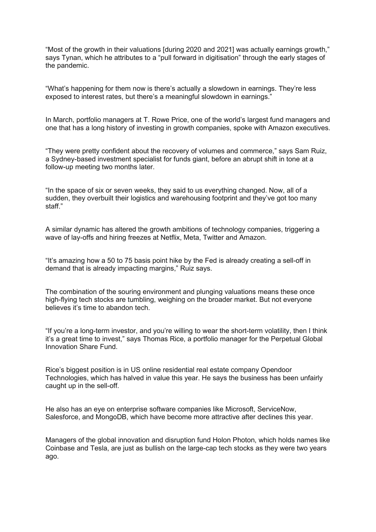"Most of the growth in their valuations [during 2020 and 2021] was actually earnings growth," says Tynan, which he attributes to a "pull forward in digitisation" through the early stages of the pandemic.

"What's happening for them now is there's actually a slowdown in earnings. They're less exposed to interest rates, but there's a meaningful slowdown in earnings."

In March, portfolio managers at T. Rowe Price, one of the world's largest fund managers and one that has a long history of investing in growth companies, spoke with Amazon executives.

"They were pretty confident about the recovery of volumes and commerce," says Sam Ruiz, a Sydney-based investment specialist for funds giant, before an abrupt shift in tone at a follow-up meeting two months later.

"In the space of six or seven weeks, they said to us everything changed. Now, all of a sudden, they overbuilt their logistics and warehousing footprint and they've got too many staff."

A similar dynamic has altered the growth ambitions of technology companies, triggering a wave of lay-offs and hiring freezes at Netflix, Meta, Twitter and Amazon.

"It's amazing how a 50 to 75 basis point hike by the Fed is already creating a sell-off in demand that is already impacting margins," Ruiz says.

The combination of the souring environment and plunging valuations means these once high-flying tech stocks are tumbling, weighing on the broader market. But not everyone believes it's time to abandon tech.

"If you're a long-term investor, and you're willing to wear the short-term volatility, then I think it's a great time to invest," says Thomas Rice, a portfolio manager for the Perpetual Global Innovation Share Fund.

Rice's biggest position is in US online residential real estate company Opendoor Technologies, which has halved in value this year. He says the business has been unfairly caught up in the sell-off.

He also has an eye on enterprise software companies like Microsoft, ServiceNow, Salesforce, and MongoDB, which have become more attractive after declines this year.

Managers of the global innovation and disruption fund Holon Photon, which holds names like Coinbase and Tesla, are just as bullish on the large-cap tech stocks as they were two years ago.